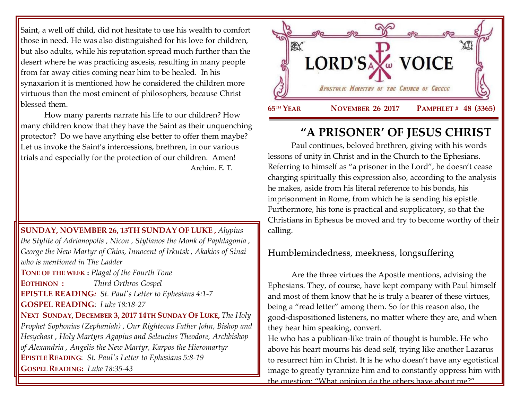Saint, a well off child, did not hesitate to use his wealth to comfort those in need. He was also distinguished for his love for children, but also adults, while his reputation spread much further than the desert where he was practicing ascesis, resulting in many people from far away cities coming near him to be healed. In his synaxarion it is mentioned how he considered the children more virtuous than the most eminent of philosophers, because Christ blessed them.

How many parents narrate his life to our children? How many children know that they have the Saint as their unquenching protector? Do we have anything else better to offer them maybe? Let us invoke the Saint's intercessions, brethren, in our various trials and especially for the protection of our children. Amen! Archim. E. T.

**SUNDAY, NOVEMBER 26, 13TH SUNDAY OF LUKE ,** *Alypius the Stylite of Adrianopolis , Nicon , Stylianos the Monk of Paphlagonia , George the New Martyr of Chios, Innocent of Irkutsk , Akakios of Sinai who is mentioned in The Ladder* **TONE OF THE WEEK :** *Plagal of the Fourth Tone* **EOTHINON :** *Third Orthros Gospel* **EPISTLE READING***: St. Paul's Letter to Ephesians 4:1-7* **GOSPEL READING**: *Luke 18:18-27* **NEXT SUNDAY, DECEMBER 3, 2017 14TH SUNDAY OF LUKE,** *The Holy Prophet Sophonias (Zephaniah) , Our Righteous Father John, Bishop and Hesychast , Holy Martyrs Agapius and Seleucius Theodore, Archbishop of Alexandria , Angelis the New Martyr, Karpos the Hieromartyr* **EPISTLE READING**: *St. Paul's Letter [to Ephesians 5:8-19](https://www.goarch.org/chapel/lectionary?type=epistle&code=27&event=940&date=5/28/2017)* **GOSPEL R[EADING](https://www.goarch.org/chapel/lectionary?type=epistle&code=27&event=940&date=5/28/2017):** *Luke 18:35-43*



# **"A PRISONER' OF JESUS CHRIST**

Paul continues, beloved brethren, giving with his words lessons of unity in Christ and in the Church to the Ephesians. Referring to himself as "a prisoner in the Lord", he doesn't cease charging spiritually this expression also, according to the analysis he makes, aside from his literal reference to his bonds, his imprisonment in Rome, from which he is sending his epistle. Furthermore, his tone is practical and supplicatory, so that the Christians in Ephesus be moved and try to become worthy of their calling.

# Humblemindedness, meekness, longsuffering

Are the three virtues the Apostle mentions, advising the Ephesians. They, of course, have kept company with Paul himself and most of them know that he is truly a bearer of these virtues, being a "read letter" among them. So for this reason also, the good-dispositioned listeners, no matter where they are, and when they hear him speaking, convert.

He who has a publican-like train of thought is humble. He who above his heart mourns his dead self, trying like another Lazarus to resurrect him in Christ. It is he who doesn't have any egotistical image to greatly tyrannize him and to constantly oppress him with the question: "What opinion do the others have about me?"